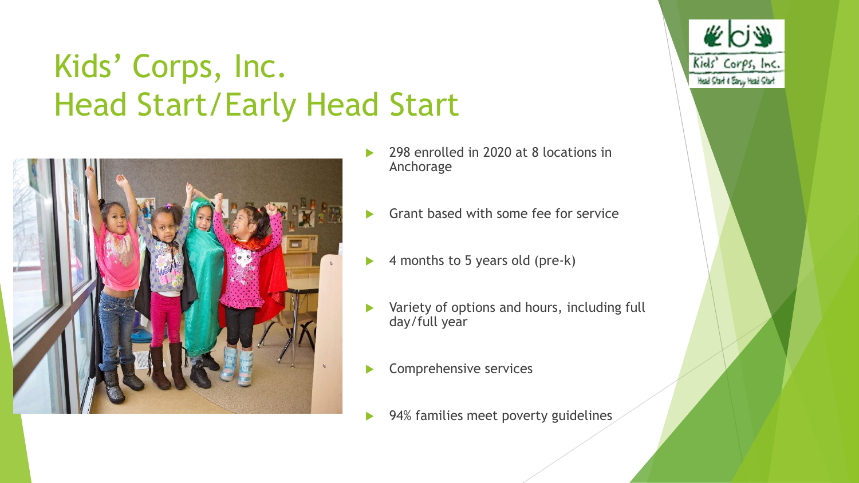# Kids' Corps, Inc. Head Start/Early Head Start



 298 enrolled in 2020 at 8 locations in Anchorage

**KOS** 

Kids' Corps, Inc. Head Start & Early Head Start

- Grant based with some fee for service
- 4 months to 5 years old (pre-k)
- Variety of options and hours, including full day/full year
- Comprehensive services
- 94% families meet poverty guidelines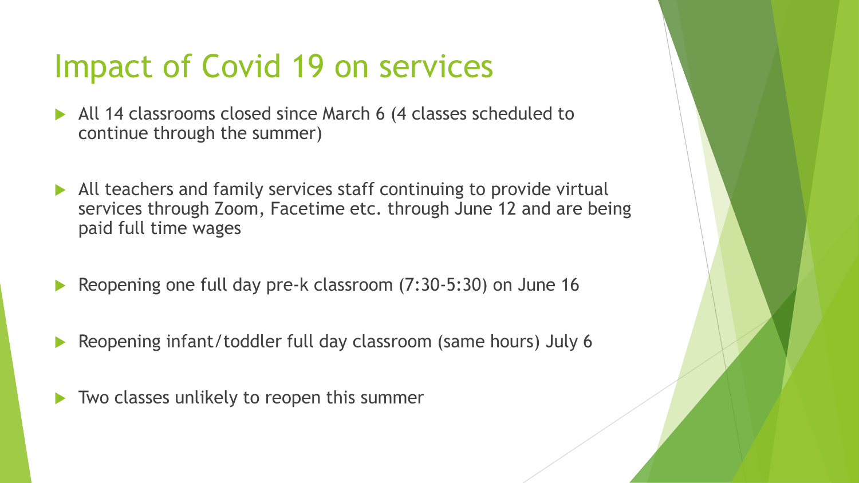## Impact of Covid 19 on services

- All 14 classrooms closed since March 6 (4 classes scheduled to continue through the summer)
- All teachers and family services staff continuing to provide virtual services through Zoom, Facetime etc. through June 12 and are being paid full time wages
- Reopening one full day pre-k classroom (7:30-5:30) on June 16
- Reopening infant/toddler full day classroom (same hours) July 6
- Two classes unlikely to reopen this summer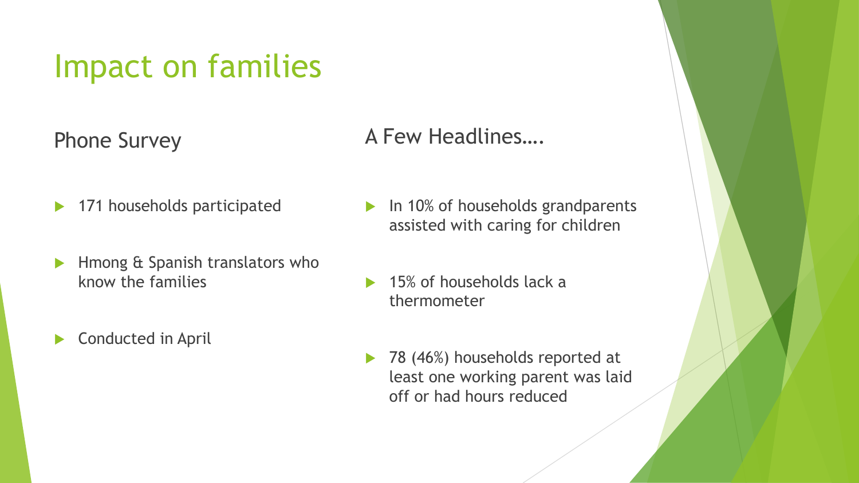### Impact on families

Phone Survey

- 171 households participated
- **Hmong & Spanish translators who** know the families
- Conducted in April

### A Few Headlines….

- In 10% of households grandparents assisted with caring for children
- 15% of households lack a thermometer
- 78 (46%) households reported at least one working parent was laid off or had hours reduced